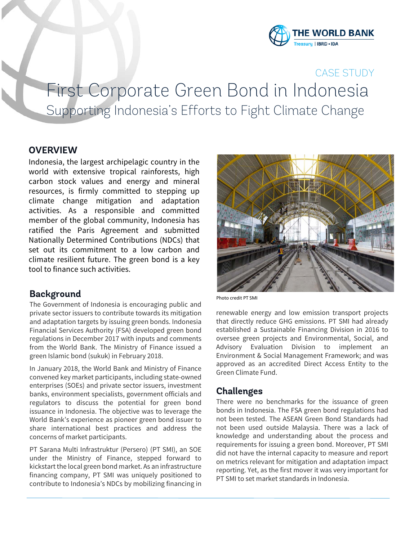

## CASE STUDY

# First Corporate Green Bond in Indonesia Supporting Indonesia's Efforts to Fight Climate Change

#### **OVERVIEW**

Indonesia, the largest archipelagic country in the world with extensive tropical rainforests, high carbon stock values and energy and mineral resources, is firmly committed to stepping up climate change mitigation and adaptation activities. As a responsible and committed member of the global community, Indonesia has ratified the Paris Agreement and submitted Nationally Determined Contributions (NDCs) that set out its commitment to a low carbon and climate resilient future. The green bond is a key tool to finance such activities.

#### **Background**

The Government of Indonesia is encouraging public and private sector issuers to contribute towards its mitigation and adaptation targets by issuing green bonds. Indonesia Financial Services Authority (FSA) developed green bond regulations in December 2017 with inputs and comments from the World Bank. The Ministry of Finance issued a green Islamic bond (sukuk) in February 2018.

In January 2018, the World Bank and Ministry of Finance convened key market participants, including state-owned enterprises (SOEs) and private sector issuers, investment banks, environment specialists, government officials and regulators to discuss the potential for green bond issuance in Indonesia. The objective was to leverage the World Bank's experience as pioneer green bond issuer to share international best practices and address the concerns of market participants.

PT Sarana Multi Infrastruktur (Persero) (PT SMI), an SOE under the Ministry of Finance, stepped forward to kickstart the local green bond market. As an infrastructure financing company, PT SMI was uniquely positioned to contribute to Indonesia's NDCs by mobilizing financing in



Photo credit PT SMI

renewable energy and low emission transport projects that directly reduce GHG emissions. PT SMI had already established a Sustainable Financing Division in 2016 to oversee green projects and Environmental, Social, and Advisory Evaluation Division to implement an Environment & Social Management Framework; and was approved as an accredited Direct Access Entity to the Green Climate Fund.

#### **Challenges**

There were no benchmarks for the issuance of green bonds in Indonesia. The FSA green bond regulations had not been tested. The ASEAN Green Bond Standards had not been used outside Malaysia. There was a lack of knowledge and understanding about the process and requirements for issuing a green bond. Moreover, PT SMI did not have the internal capacity to measure and report on metrics relevant for mitigation and adaptation impact reporting. Yet, as the first mover it was very important for PT SMI to set market standards in Indonesia.